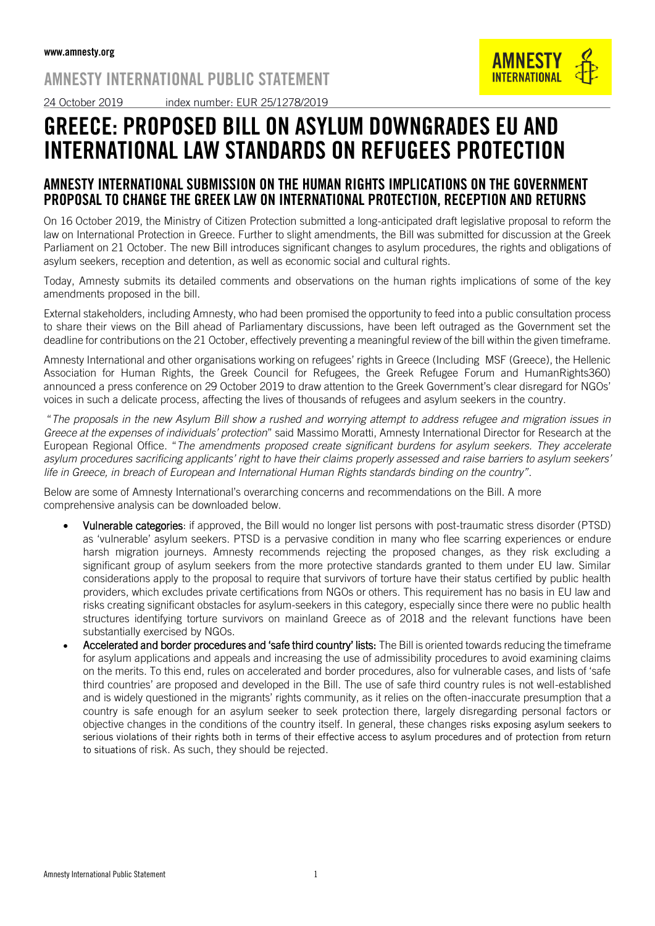## AMNESTY INTERNATIONAL PUBLIC STATEMENT





GREECE: PROPOSED BILL ON ASYLUM DOWNGRADES EU AND

## INTERNATIONAL LAW STANDARDS ON REFUGEES PROTECTION

## AMNESTY INTERNATIONAL SUBMISSION ON THE HUMAN RIGHTS IMPLICATIONS ON THE GOVERNMENT PROPOSAL TO CHANGE THE GREEK LAW ON INTERNATIONAL PROTECTION, RECEPTION AND RETURNS

On 16 October 2019, the Ministry of Citizen Protection submitted a long-anticipated draft legislative proposal to reform the law on International Protection in Greece. Further to slight amendments, the Bill was submitted for discussion at the Greek Parliament on 21 October. The new Bill introduces significant changes to asylum procedures, the rights and obligations of asylum seekers, reception and detention, as well as economic social and cultural rights.

Today, Amnesty submits its detailed comments and observations on the human rights implications of some of the key amendments proposed in the bill.

External stakeholders, including Amnesty, who had been promised the opportunity to feed into a public consultation process to share their views on the Bill ahead of Parliamentary discussions, have been left outraged as the Government set the deadline for contributions on the 21 October, effectively preventing a meaningful review of the bill within the given timeframe.

Amnesty International and other organisations working on refugees' rights in Greece (Including MSF (Greece), the Hellenic Association for Human Rights, the Greek Council for Refugees, the Greek Refugee Forum and HumanRights360) announced a press conference on 29 October 2019 to draw attention to the Greek Government's clear disregard for NGOs' voices in such a delicate process, affecting the lives of thousands of refugees and asylum seekers in the country.

"*The proposals in the new Asylum Bill show a rushed and worrying attempt to address refugee and migration issues in Greece at the expenses of individuals' protection*" said Massimo Moratti, Amnesty International Director for Research at the European Regional Office. "*The amendments proposed create significant burdens for asylum seekers. They accelerate asylum procedures sacrificing applicants' right to have their claims properly assessed and raise barriers to asylum seekers' life in Greece, in breach of European and International Human Rights standards binding on the country"*.

Below are some of Amnesty International's overarching concerns and recommendations on the Bill. A more comprehensive analysis can be downloaded below.

- Vulnerable categories: if approved, the Bill would no longer list persons with post-traumatic stress disorder (PTSD) as 'vulnerable' asylum seekers. PTSD is a pervasive condition in many who flee scarring experiences or endure harsh migration journeys. Amnesty recommends rejecting the proposed changes, as they risk excluding a significant group of asylum seekers from the more protective standards granted to them under EU law. Similar considerations apply to the proposal to require that survivors of torture have their status certified by public health providers, which excludes private certifications from NGOs or others. This requirement has no basis in EU law and risks creating significant obstacles for asylum-seekers in this category, especially since there were [no public health](https://www.asylumineurope.org/sites/default/files/report-download/aida_gr_2018update.pdf)  [structures identifying torture survivors on mainland Greece as of 2018](https://www.asylumineurope.org/sites/default/files/report-download/aida_gr_2018update.pdf) and the relevant functions have been substantially exercised by NGOs.
- Accelerated and border procedures and 'safe third country' lists: The Bill is oriented towards reducing the timeframe for asylum applications and appeals and increasing the use of admissibility procedures to avoid examining claims on the merits. To this end, rules on accelerated and border procedures, also for vulnerable cases, and lists of 'safe third countries' are proposed and developed in the Bill. The use of safe third country rules is not well-established and is widely questioned in the migrants' rights community, as it relies on the often-inaccurate presumption that a country is safe enough for an asylum seeker to seek protection there, largely disregarding personal factors or objective changes in the conditions of the country itself. In general, these changes risks exposing asylum seekers to serious violations of their rights both in terms of their effective access to asylum procedures and of protection from return to situations of risk. As such, they should be rejected.